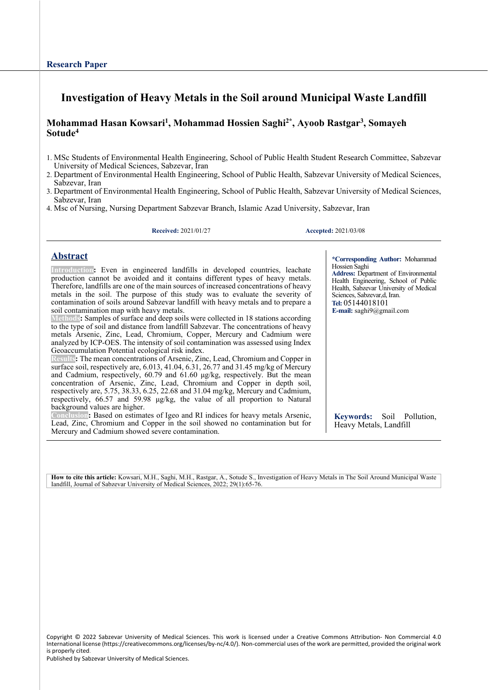# **Investigation of Heavy Metals in the Soil around Municipal Waste Landfill**

### **Mohammad Hasan Kowsari1, Mohammad Hossien Saghi2\*, Ayoob Rastgar3, Somayeh Sotude4**

- 1. MSc Students of Environmental Health Engineering, School of Public Health Student Research Committee, Sabzevar University of Medical Sciences, Sabzevar, Iran
- 2. Department of Environmental Health Engineering, School of Public Health, Sabzevar University of Medical Sciences, Sabzevar, Iran
- 3. Department of Environmental Health Engineering, School of Public Health, Sabzevar University of Medical Sciences, Sabzevar, Iran
- 4. Msc of Nursing, Nursing Department Sabzevar Branch, Islamic Azad University, Sabzevar, Iran

**Received:** 2021/01/27 **Accepted:** 2021/03/08

Hossien Saghi

Sciences, Sabzevar,d, Iran. **Tel:** 05144018101 **E-mail:** saghi9@gmail.com

### **Abstract**

**Introduction:** Even in engineered landfills in developed countries, leachate production cannot be avoided and it contains different types of heavy metals. Therefore, landfills are one of the main sources of increased concentrationsof heavy metals in the soil. The purpose of this study was to evaluatethe severity of contamination of soils around Sabzevar landfill with heavy metals and to prepare a soil contamination map with heavy metals.

Methods: Samples of surface and deep soils were collected in 18 stations according to the type of soil and distance from landfill Sabzevar. The concentrations of heavy metals Arsenic, Zinc, Lead, Chromium, Copper, Mercury and Cadmium were analyzed by ICP-OES. The intensity of soil contamination was assessed using Index Geoaccumulation Potential ecological risk index.

**Results:** The mean concentrations of Arsenic, Zinc, Lead, Chromium and Copper in surface soil, respectively are, 6.013, 41.04, 6.31, 26.77 and 31.45 mg/kg of Mercury and Cadmium, respectively, 60.79 and 61.60 μg/kg, respectively. But the mean concentration of Arsenic, Zinc, Lead, Chromium and Copper in depth soil, respectively are, 5.75, 38.33, 6.25, 22.68 and 31.04 mg/kg, Mercury and Cadmium, respectively, 66.57 and 59.98 μg/kg, the value of all proportion to Natural background values are higher.

ion: Based on estimates of Igeo and RI indices for heavy metals Arsenic, Lead, Zinc, Chromium and Copper in the soil showed no contamination but for Mercury and Cadmium showed severe contamination.

**Keywords:** Soil Pollution, Heavy Metals, Landfill

**\*Corresponding Author:** Mohammad

**Address:** Department of Environmental Health Engineering, School of Public Health, Sabzevar University of Medical

**How to cite this article:** Kowsari, M.H., Saghi, M.H., Rastgar, A., Sotude S., Investigation of Heavy Metals in The Soil Around Municipal Waste Iandfill, Journal of Sabzevar University of Medical Sciences, 2022; 29(1):65-76.

Copyright © 2022 Sabzevar University of Medical Sciences. This work is licensed under a Creative Commons Attribution- Non Commercial 4.0 International license (https://creativecommons.org/licenses/by-nc/4.0/). Non-commercial uses of the work are permitted, provided the original work is properly cited.

Published by Sabzevar University of Medical Sciences.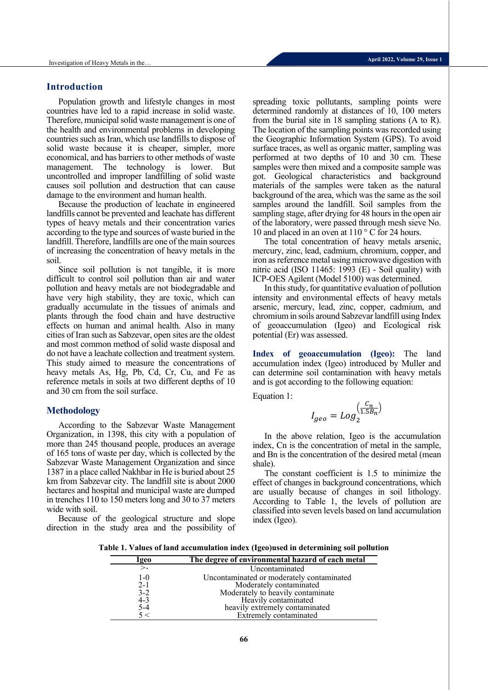#### **Introduction**

Population growth and lifestyle changes in most countries have led to a rapid increase in solid waste. Therefore, municipal solid waste management is one of the health and environmental problems in developing countries such as Iran, which use landfills to dispose of solid waste because it is cheaper, simpler, more economical, and has barriers to other methods of waste management. The technology is lower. But uncontrolled and improper landfilling of solid waste causes soil pollution and destruction that can cause damage to the environment and human health.

Because the production of leachate in engineered landfills cannot be prevented and leachate has different types of heavy metals and their concentration varies according to the type and sources of waste buried in the landfill. Therefore, landfills are one of the main sources of increasing the concentration of heavy metals in the soil.

Since soil pollution is not tangible, it is more difficult to control soil pollution than air and water pollution and heavy metals are not biodegradable and have very high stability, they are toxic, which can gradually accumulate in the tissues of animals and plants through the food chain and have destructive effects on human and animal health. Also in many cities of Iran such as Sabzevar, open sites are the oldest and most common method of solid waste disposal and do not have a leachate collection and treatment system. This study aimed to measure the concentrations of heavy metals As, Hg, Pb, Cd, Cr, Cu, and Fe as reference metals in soils at two different depths of 10 and 30 cm from the soil surface.

#### **Methodology**

According to the Sabzevar Waste Management Organization, in 1398, this city with a population of more than 245 thousand people, produces an average of 165 tons of waste per day, which is collected by the Sabzevar Waste Management Organization and since 1387 in a place called Nakhbar in He is buried about 25 km from Sabzevar city. The landfill site is about 2000 hectares and hospital and municipal waste are dumped in trenches 110 to 150 meters long and 30 to 37 meters wide with soil.

Because of the geological structure and slope direction in the study area and the possibility of spreading toxic pollutants, sampling points were determined randomly at distances of 10, 100 meters from the burial site in 18 sampling stations (A to R). The location of the sampling points was recorded using the Geographic Information System (GPS). To avoid surface traces, as well as organic matter, sampling was performed at two depths of 10 and 30 cm. These samples were then mixed and a composite sample was got. Geological characteristics and background materials of the samples were taken as the natural background of the area, which was the same as the soil samples around the landfill. Soil samples from the sampling stage, after drying for 48 hours in the open air of the laboratory, were passed through mesh sieve No. 10 and placed in an oven at 110 °C for 24 hours.

The total concentration of heavy metals arsenic, mercury, zinc, lead, cadmium, chromium, copper, and iron as reference metal using microwave digestion with nitric acid (ISO 11465: 1993 (E) - Soil quality) with ICP-OES Agilent (Model 5100) was determined.

In this study, for quantitative evaluation of pollution intensity and environmental effects of heavy metals arsenic, mercury, lead, zinc, copper, cadmium, and chromium in soils around Sabzevar landfill using Index of geoaccumulation (Igeo) and Ecological risk potential (Er) was assessed.

**Index of geoaccumulation (Igeo):** The land accumulation index (Igeo) introduced by Muller and can determine soil contamination with heavy metals and is got according to the following equation:

Equation 1:

$$
I_{geo} = Log_2^{\left(\frac{C_n}{1.5B_n}\right)}
$$

In the above relation, Igeo is the accumulation index, Cn is the concentration of metal in the sample, and Bn is the concentration of the desired metal (mean shale).

The constant coefficient is 1.5 to minimize the effect of changes in background concentrations, which are usually because of changes in soil lithology. According to Table 1, the levels of pollution are classified into seven levels based on land accumulation index (Igeo).

**Table 1. Values of land accumulation index (Igeo)used in determining soil pollution**

| lgeo         | The degree of environmental hazard of each metal                     |
|--------------|----------------------------------------------------------------------|
| $\mathbf{L}$ | Uncontaminated                                                       |
| $1-0$        | Uncontaminated or moderately contaminated<br>Moderately contaminated |
| $2-1$        |                                                                      |
| $3 - 2$      | Moderately to heavily contaminate                                    |
| $4 - 3$      | Heavily contaminated                                                 |
| $5 - 4$      | heavily extremely contaminated                                       |
|              | Extremely contaminated                                               |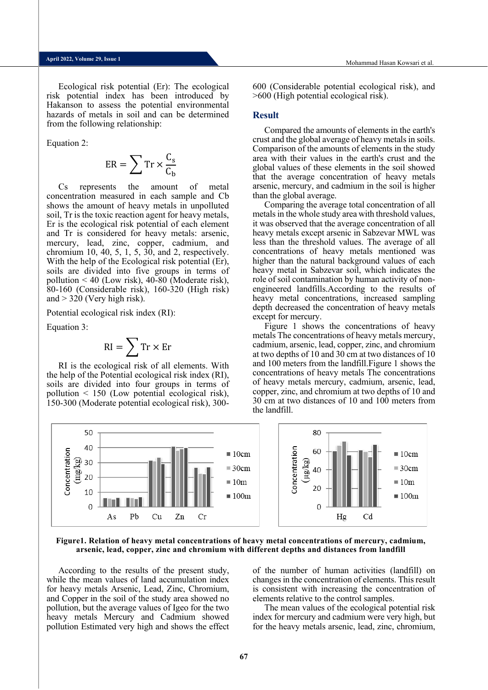Ecological risk potential (Er): The ecological risk potential index has been introduced by Hakanson to assess the potential environmental hazards of metals in soil and can be determined from the following relationship:

Equation 2:

$$
ER = \sum Tr \times \frac{C_s}{C_b}
$$

Cs represents the amount of metal concentration measured in each sample and Cb shows the amount of heavy metals in unpolluted soil, Tr is the toxic reaction agent for heavy metals, Er is the ecological risk potential of each element and Tr is considered for heavy metals: arsenic, mercury, lead, zinc, copper, cadmium, and chromium 10, 40, 5, 1, 5, 30, and 2, respectively. With the help of the Ecological risk potential (Er), soils are divided into five groups in terms of pollution < 40 (Low risk), 40-80 (Moderate risk), 80-160 (Considerable risk), 160-320 (High risk) and  $>$  320 (Very high risk).

Potential ecological risk index (RI):

Equation 3:

$$
RI = \sum Tr \times Er
$$

RI is the ecological risk of all elements. With the help of the Potential ecological risk index (RI), soils are divided into four groups in terms of pollution < 150 (Low potential ecological risk), 150-300 (Moderate potential ecological risk), 300600 (Considerable potential ecological risk), and >600 (High potential ecological risk).

#### **Result**

Compared the amounts of elements in the earth's crust and the global average of heavy metals in soils. Comparison of the amounts of elements in the study area with their values in the earth's crust and the global values of these elements in the soil showed that the average concentration of heavy metals arsenic, mercury, and cadmium in the soil is higher than the global average.

Comparing the average total concentration of all metals in the whole study area with threshold values, it was observed that the average concentration of all heavy metals except arsenic in Sabzevar MWL was less than the threshold values. The average of all concentrations of heavy metals mentioned was higher than the natural background values of each heavy metal in Sabzevar soil, which indicates the role of soil contamination by human activity of nonengineered landfills.According to the results of heavy metal concentrations, increased sampling depth decreased the concentration of heavy metals except for mercury.

Figure 1 shows the concentrations of heavy metals The concentrations of heavy metals mercury, cadmium, arsenic, lead, copper, zinc, and chromium at two depths of 10 and 30 cm at two distances of 10 and 100 meters from the landfill.Figure 1 shows the concentrations of heavy metals The concentrations of heavy metals mercury, cadmium, arsenic, lead, copper, zinc, and chromium at two depths of 10 and 30 cm at two distances of 10 and 100 meters from the landfill.



**Figure1. Relation of heavy metal concentrations of heavy metal concentrations of mercury, cadmium, arsenic, lead, copper, zinc and chromium with different depths and distances from landfill**

According to the results of the present study, while the mean values of land accumulation index for heavy metals Arsenic, Lead, Zinc, Chromium, and Copper in the soil of the study area showed no pollution, but the average values of Igeo for the two heavy metals Mercury and Cadmium showed pollution Estimated very high and shows the effect of the number of human activities (landfill) on changes in the concentration of elements. This result is consistent with increasing the concentration of elements relative to the control samples.

The mean values of the ecological potential risk index for mercury and cadmium were very high, but for the heavy metals arsenic, lead, zinc, chromium,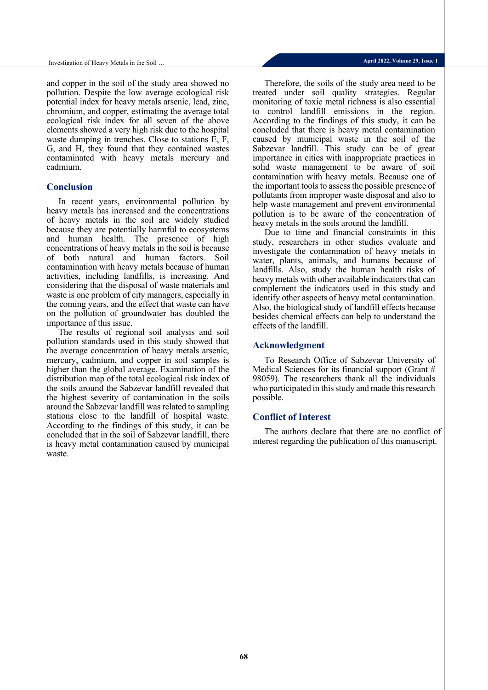and copper in the soil of the study area showed no pollution. Despite the low average ecological risk potential index for heavy metals arsenic, lead, zinc, chromium, and copper, estimating the average total ecological risk index for all seven of the above elements showed a very high risk due to the hospital waste dumping in trenches. Close to stations E, F, G, and H, they found that they contained wastes contaminated with heavy metals mercury and cadmium.

#### **Conclusion**

In recent years, environmental pollution by heavy metals has increased and the concentrations of heavy metals in the soil are widely studied because they are potentially harmful to ecosystems and human health. The presence of high concentrations of heavy metals in the soil is because of both natural and human factors. Soil contamination with heavy metals because of human activities, including landfills, is increasing. And considering that the disposal of waste materials and waste is one problem of city managers, especially in the coming years, and the effect that waste can have on the pollution of groundwater has doubled the importance of this issue.

The results of regional soil analysis and soil pollution standards used in this study showed that the average concentration of heavy metals arsenic, mercury, cadmium, and copper in soil samples is higher than the global average. Examination of the distribution map of the total ecological risk index of the soils around the Sabzevar landfill revealed that the highest severity of contamination in the soils around the Sabzevar landfill was related to sampling stations close to the landfill of hospital waste. According to the findings of this study, it can be concluded that in the soil of Sabzevar landfill, there is heavy metal contamination caused by municipal waste.

Therefore, the soils of the study area need to be treated under soil quality strategies. Regular monitoring of toxic metal richness is also essential to control landfill emissions in the region. According to the findings of this study, it can be concluded that there is heavy metal contamination caused by municipal waste in the soil of the Sabzevar landfill. This study can be of great importance in cities with inappropriate practices in solid waste management to be aware of soil contamination with heavy metals. Because one of the important tools to assess the possible presence of pollutants from improper waste disposal and also to help waste management and prevent environmental pollution is to be aware of the concentration of heavy metals in the soils around the landfill.

Due to time and financial constraints in this study, researchers in other studies evaluate and investigate the contamination of heavy metals in water, plants, animals, and humans because of landfills. Also, study the human health risks of heavy metals with other available indicators that can complement the indicators used in this study and identify other aspects of heavy metal contamination. Also, the biological study of landfill effects because besides chemical effects can help to understand the effects of the landfill.

#### **Acknowledgment**

To Research Office of Sabzevar University of Medical Sciences for itsfinancial support (Grant # 98059). The researchers thank all the individuals who participated in this study and made this research possible.

### **Conflict of Interest**

The authors declare that there are no conflict of interest regarding the publication of this manuscript.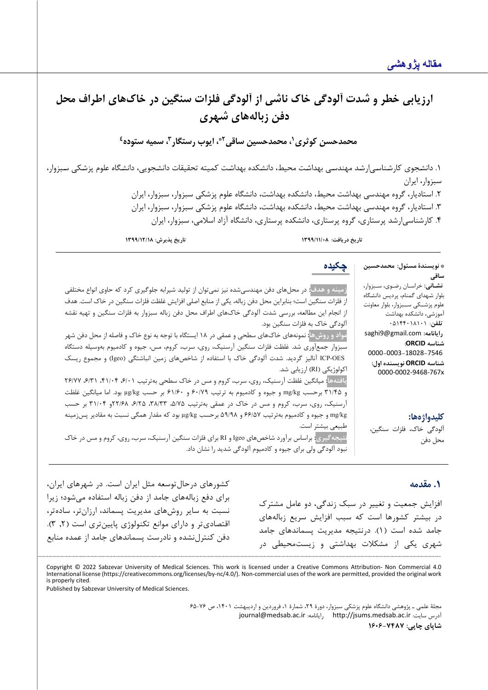\* **نویسندة مسئول: محمدحسین** 

**نشـانی:** خراسـان رضـوي، سـبزوار، بلوار شـهداي گمنام، پردیس دانشـگاه علوم پزشــکی ســبزوار، بلوار معاونت آموزشی، دانشکده بهداشت **تلفن**: 05144018101 saghi9@gmail.com **:رایانامه**

0000**-**0003**-**18028**-**7546 **شناسه ORCID نویسنده اول:** 0000-0002-9468-767x

آلودگی خاک، فلزات سنگین،

**ساقی**

**شناسه ORCID:**

# ارزيابي خطر و شدت آلودگي خاک ناشي از آلودگي فلزات سنگين در خاکهاي اطراف محل **دفن زباله ها ي شهر ي**

**4 ، سمیه ستوده <sup>3</sup> ، ایوب رستگار ،1 محمدحسین ساقی2\* محمدحسن کوثري**

.1 دانشـجوي کارشـناسـیارشـد مهندسـی بهداشـت محیط، دانشـکده بهداشـت کمیته تحقیقات دانشـجویی، دانشـگاه علوم پزشـکی سـبزوار، سبزوار، ایران

.2 استادیار، گروه مهندسی بهداشت محیط، دانشکده بهداشت، دانشگاه علوم پزشکی سبزوار، سبزوار، ایران .3 استادیار، گروه مهندسی بهداشت محیط، دانشکده بهداشت، دانشگاه علوم پزشکی سبزوار، سبزوار، ایران

.4 کارشناسیارشد پرستاري، گروه پرستاري، دانشکده پرستاري، دانشگاه آزاد اسلامی، سبزوار، ایران

**تاریخ دریافت: /11/08 1399 تاریخ پذیرش: 1399/12/18**

**چکیده**

**زمینه و هدف:** در محلهاي دفن مهندسیشده نیز نمیتوان از تولید شیرابه جلوگیري کرد که حاوي انواع مختلفی از فلزات سنگین است؛ بنابراین محل دفن زباله، یکی از منابع اصلی افزایش غلظت فلزات سنگین در خاك است. هدف از انجام این مطالعه، بررسی شدت آلودگی خاكهاي اطراف محل دفن زباله سبزوار به فلزات سنگین و تهیه نقشه آلودگی خاك به فلزات سنگین بود.

**مواد و روش ها:** نمونههاي خاك هاي سطحی و عمقی در 18 ایستگاه با توجه به نوع خاك و فاصله از محل دفن شهر سبزوار جمع آوري شد. غلظت فلزات سنگین آرسنیک، روي، سرب، کروم، مس، جیوه و کادمیوم به وسیله دستگاه OES-ICP آنالیز گردید. شدت آلودگی خاك با استفاده از شاخصهاي زمین انباشتگی (Igeo (و مجموع ریسک اکولوژیکی (RI) ارزیابی شد.

**یافتهها:** میانگین غلظت آرسنیک، روي، سرب، کروم و مس در خاك سطحی بهترتیب /01 ،6 /04 ،41 /31 ،6 26/77 و /45 31 برحسب kg/mg و جیوه و کادمیوم به ترتیب /79 60 و /60 61 بر حسب kg/µg بود. اما میانگین غلظت آرسنیک، روی، سرب، کروم و مس در خاک در عمقی بهترتیب ۵/۷۵، ۳۸/۳۳، ۲۲/۶۸ ، ۲۲/۰۴ بر حسب kg/mg و جیوه و کادمیوم به ترتیب 66/57 و /98 59 برحسب kg/µg بود که مقدار همگی نسبت به مقادیر پس زمینه طبیعی بیشتر است.

**نتیجهگیري:** براساس برآورد شاخص ها ي Igeo و RI براي فلزات سنگین آرسنیک، سرب، روي، کروم و مس در خاك نبود آلودگی ولی براي جیوه و کادمیوم آلودگی شدید را نشان داد.

### **.1 مقدمه**

**کلیدواژهها:**

محل دفن

افزایش جمعیت و تغییر در سبک زندگی، دو عامل م شترك در بیشتر کشورها است که سبب افزایش سریع زباله هاي جامد شده است ( 1) . درنتیجه مدیریت پسماندهاي جامد شهري یکی از مشکلات بهداشتی و زیست محیطی در

کشورهاي درحال توسعه مثل ایران است. در شهرهاي ایران، براي دفع زباله هاي جامد از دفن زباله استفاده می شود؛ زیرا نسبت به سایر روش هاي مدیریت پسماند، ارزان تر، ساده تر، اقتصادي تر و داراي موانع تکنولوژي پایین تري است ( ,2 3) . دفن کنترل نشده و نادرست پسماندهاي جامد از عمده منابع

Copyright © 2022 Sabzevar University of Medical Sciences. This work is licensed under a Creative Commons Attribution- Non Commercial 4.0 International license (https://creativecommons.org/licenses/by-nc/4.0/). Non-commercial uses of the work are permitted, provided the original work is properly cited.

Published by Sabzevar University of Medical Sciences.

مجلۀ علمی ـ پژوهشی دانشگاه علوم پزشکی سبزوار، دورة ،29 شمارة ،1 فروردین و اردیبهشت ،1401 ص 65-76 [journal@medsab.ac.ir](mailto:journal@medsab.ac.ir) :رایانامه [http://jsums.medsab.ac.ir](http://jsums.medsab.ac.ir/) :سایت آدرس **شاپاي چاپی: 1606-7487**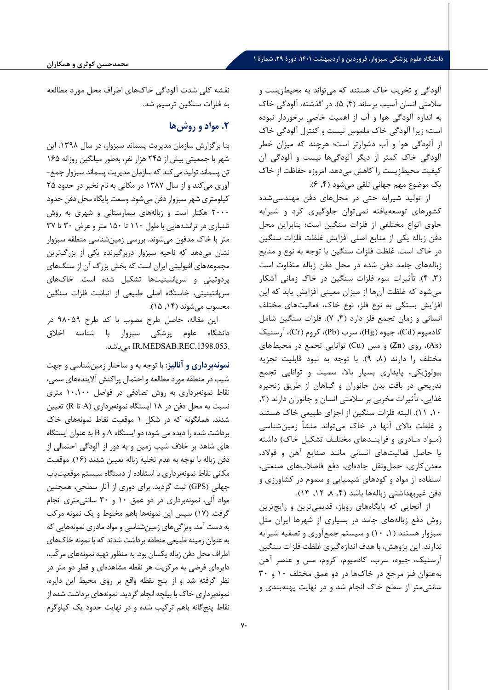### **دانشگاه علوم پزشکی سبزوار، فروردین و اردیبهشت ،1401 دورة ،29 شمارة 1**

آلودگی و تخریب خاک هستند که میتواند به محیطزیست و سلامتی انسان آسیب برساند (,4 5). در گذشته، آلودگی خاك به اندازه آلودگی هوا و آب از اهمیت خاصی برخوردار نبوده است؛ زیرا آلودگی خاك ملموس نیست و کنترل آلودگی خاك از آلودگی هوا و آب دشوارتر است؛ هرچند که میزان خطر آلودگی خاك کمتر از دیگر آلودگیها نیست و آلودگی آن کیفیت محیط زیست را کاهش میدهد. امروزه حفاظت از خاك یک موضوع مهم جهانی تلقی می شود (,4 6).

از تولید شیرابه حتی در محل هاي دفن مهندسی شده کشورهاي توسعه یافته نمی توان جلوگیري کرد و شیرابه حاوي انواع مختلفی از فلزات سنگین است؛ بنابراین محل دفن زباله یکی از منابع اصلی افزایش غلظت فلزات سنگین در خاك است. غلظت فلزات سنگین با توجه به نوع و منابع زباله هاي جامد دفن شده در محل دفن زباله متفاوت است ( ,3 4) . تأثیرات سوء فلزات سنگین در خاك زمانی آشکار می شود که غلظت آن ها از میزان معینی افزایش یابد که این افزایش بستگی به نوع فلز، نوع خاك، فعالیت هاي مختلف انسانی و زمان تجمع فلز دارد ( ,4 7) . فلزات سنگین شامل کادمیوم (Cd)، جیوه (Hg)، سرب (Pb)، کروم (Cr)، آرسنیک ( As (، روي ( Zn (و مس ( Cu (توانایی تجمع در محیط هاي مختلف را دارند ( ,8 9) . با توجه به نبود قابلیت تجزیه بیولوژیکی، پایداري بسیار بالا، سمیت و توانایی تجمع تدریجی در بافت بدن جانوران و گیاهان از طریق زنجیره غذایی، تأثیرات مخربی بر سلامتی انسان و جانوران دارند (۲, ,10 11) . البته فلزات سنگین از اجزاي طبیعی خاك هستند و غلظت بالاي آنها در خاك می تواند منشأ زمین شناسی (مـواد مـادري و فراینـدهاي مختلـف تشکیل خاك) داشته یا حاصل فعالیت هاي انسانی مانند صنایع آهن و فولاد، معدن کاري، حمل ونقل جاده اي، دفع فاضلاب هاي صنعتی، استفاده از مواد و کودهاي شیمیایی و سموم در کشاورزي و دفن غیربهداشتی زبالهها باشد (۴, ۸, ۱۲, ۱۳).

از آنجایی که پایگاههای روباز، قدیمی ترین و رایج ترین روش دفع زباله هاي جامد در بسیاري از شهرها ایران مثل سبزوار هستند ( ,1 10) و سیستم جمع آوري و تصفیه شیرابه ندارند. این پژوهش، با هدف اندازه گیري غلظت فلزات سنگین آرسنیک، جیوه، سرب، کادمیوم، کروم، مس و عنصر آهن به عنوان فلز مرجع در خاك ها در دو عمق مختلف 10 و 30 سانتی متر از سطح خاك انجام شد و در نهایت پهنه بندي و

نقشه کلی شدت آلودگی خاك هاي اطراف محل مورد مطالعه به فلزات سنگین ترسیم شد.

# **.2 مواد و روشها**

بنا برگزارش سازمان مدیریت پسماند سبزوار، در سال ،1398 این شهر با جمعیتی بیش از 245 هزار نفر، به طور میانگین روزانه 165 تن پسماند تولید می کند که سازمان مدیریت پسماند سبزوار جمع - آوري می کند و از سال 1387 در مکانی به نام نخبر در حدود 25 کیلومتري شهر سبزوار دفن می شود. وسعت پایگاه محل دفن حدود 2000 هکتار است و زباله هاي بیمارستانی و شهري به روش تلنباري در ترانشه هایی با طول 110 تا 150 متر و عرض 30 تا 37 متر با خاك مدفون می شوند. بررسی زمین شناسی منطقه سبزوار نشان می دهد که ناحیه سبزوار دربرگیرنده یکی از بزرگ ترین مجموعه هاي افیولیتی ایران است که بخش بزرگ آن از سنگ هاي پردوتیتی و سرپانتینیت ها تشکیل شده است . خاك هاي سرپانتینیتی، خاستگاه اصلی طبیعی از انباشت فلزات سنگین محسوب میشوند (۱۴, ۱۵).

این مقاله، حاصل طرح مصوب با کد طرح 98059 در دانشگاه علوم پزشکی سبزوار با شناسه اخلاق .باشد می IR.MEDSAB.REC.1398.053.

**نمونه بردار ي و آنالیز :** با توجه به و ساختار زمین شناسی و جهت شیب در منطقه مورد مطالعه و احتمال پراکنش آلاینده هاي سمی، نقاط نمونهبرداری به روش تصادفی در فواصل ۱۰،۱۰۰ متری نسبت به محل دفن در 18 ایستگاه نمونه برداري ( A تا R (تعیین شدند . همانگونه که در شکل 1 موقعیت نقاط نمونه هاي خاك برداشت شده را دیده می شود؛ دو ایستگاه A و B به عنوان ایستگاه هاي شاهد بر خلاف شیب زمین و به دور از آلودگی احتمالی از دفن زباله با توجه به عدم تخلیه زباله تعیین شدند ( 16) . موقعیت مکانی نقاط نمونه برداري با استفاده از دستگاه سیستم موقعیت یاب جهانی ( GPS (ثبت گردید. براي دوري از آثار سطحی، همچنین مواد آلی، نمونه برداري در دو عمق 10 و 30 سانتی متري انجام گرفت . ( 17) سپس این نمونه ها باهم مخلوط و یک نمونه مرکب به دست آمد. ویژگی هاي زمین شناسی و مواد مادري نمونه هایی که به عنوان زمینه طبیعی منطقه برداشت شدند که با نمونه خاك هاي اطراف محل دفن زباله یکسان بود . به منظور تهیه نمونه هاي مرکّب، دایرهای فرضی به مرکزیت هر نقطه مشاهدهای و قطر دو متر در نظر گرفته شد و از پنج نقطه واقع بر روي محیط این دایره، نمونه برداري خاك با بیلچه انجام گردید . نمونه هاي برداشت شده از نقاط پنج گانه باهم ترکیب شده و در نهایت حدود یک کیلوگرم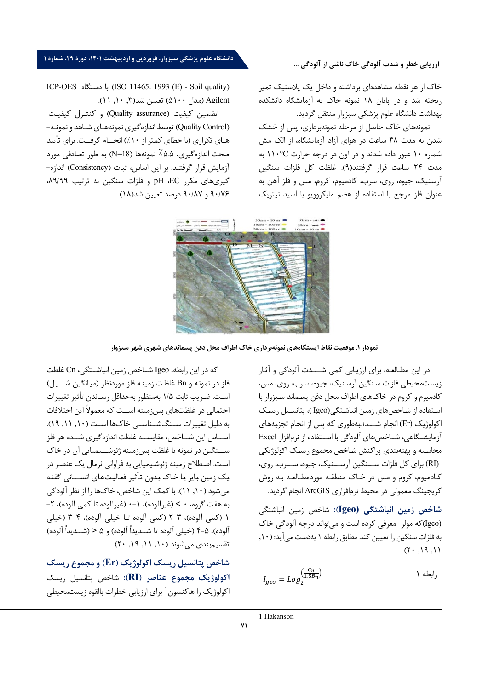#### ارزیابی خطر و شدت آلودگی خاک ناشی از آلودگی ...

# **دانشگاه علوم پزشکی سبزوار، فروردین و اردیبهشت ،1401 دورة ،29 شمارة 1**

خاك از هر نقطه مشاهده اي برداشته و داخل یک پلاستیک تمیز ریخته شد و در پایان 18 نمونه خاك به آزمایشگاه دانشکده بهداشت دانشگاه علوم پزشکی سبزوار منتقل گردید .

نمونه هاى خاك حاصل از مرحله نمونه برداري ، پس از خشک شدن به مدت 48 ساعت در هواى آزاد آزمایشگاه، از الک مش شماره 10 عبور داده شدند و در آون در درجه حرارت C110° به مدت 24 ساعت قرار گرفتند ( 9) . غلظت کل فلزات سنگین آرسنیک، جیوه، روي، سرب، کادمیوم، کروم، مس و فلز آهن به عنوان فل ز مرجع با استفاده از هضم مایکروویو با اسید نیتریک

ICP-OES دستگاه با) ISO 11465: 1993 (E) - Soil quality ) Agilent) (مدل ۱۰، ۵۱۰) تعیین شد(۰٫۳ ۱٫۱۰).

تضمین کیفیت ( assurance Quality (و کنتـرل کیفیـت (Quality Control) توسط اندازهگیري نمونههاي شـاهد و نمونـه-هـاي تکراري (با خطاي کمتر از ۱۰٪) انجــام گرفــت. براي تأييد صحت اندازه گیري، ٪5.5 نمونه ها ( 18=N (به طور تصادفی مورد آزمایش قرار گرفتند . بر این اساس، ثبات ( Consistency (اندازه - گ یري هاي مکرر EC، pH و فلزات سنگین به ترتیب /99 ،89 ۹۰/۷۶ و ۹۰/۸۷ درصد تعیین شد(۱۸).



نمودار ۱. موقعیت نقاط ایستگاههای نمونهبرداری خاک اطراف محل دفن پسماندهای شهری شهر سبزوار

در اين مطـالعـه، براي ارزيـابي كمي شــــدت آلودگي و آثـار زیسـتمحیطی فلزات سـنگین آرسـنیک، جیوه، سـرب، روی، مس، کادميوم و کروم در خاک هاي اطراف محل دفن پسـماند سـبزوار با اسـتفاده از شـاخص های زمین انباشـتگی (Igeo )، پتانسـیل ریسـک اکولوژیک (Er) انجام شـــد؛ بـهطوري کـه پس از انجام تجزیـههاي آزمایشــگاهى، شــاخص هاى آلودگى با اســتفاده از نرمافزار Excel محاسـبه و پهنهبندی پراکنش شـاخص مجموع ريسـک اکولوژيکی (RI) برای کل فلزات ســنگين آرســنيک، جيوه، ســرب، روي، کـادم یوم، کروم و مس در خـاك منطقـه موردمطـالعـه بـه روش کريجينگ معمولي در محيط نرم افزاري ArcGIS انجام گرديد.

**شاخص زم ین انباشتگ ی (Igeo (:** شاخص زمین انباشتگی (Igeo) که مولر معرفی کرده است و می تواند درجه آلودگی خاک به فلزات سنگین را تعیین کند مطابق رابطه ۱ بهدست می آید: (۱۰,  $(7 \cdot 19, 11)$ 

$$
I_{geo} = Log_{2}^{\left(\frac{C_{n}}{1.5B_{n}}\right)}
$$

که در این رابطه، Igeo شــاخص زمین انباشــتگی، Cn غلظت فلز در نمونـه و Bn غلظـت زمینـه فلز موردنظر ( میـانگین شـــیـل ) اسـت. ضـریب ثابت ۱/۵ بهمنظور بهحداقل رسـاندن تأثیر تغییرات احتمالی در غلظتهای پس;مینه اســت که معمولاً این اختلافات به دلیل تغییرات ســنگ شــناســی خاك ها اســت ( ,10 ,11 19) . اســاس این شــاخص، مقایســه غلظت اندازه گیري شــده هر فلز ســـنگین در نمونه با غلظت پس زمینه ژئوشـــیمیایی آن در خاک اسـت. اصـطلاح زمینه ژئوشـیمیایی به فراوانی نرمال یک عنصـر در یـک زمین بـایر یـا خـاك بـدون تـأثیر فعـالیـت هـاي انســـانی گفتـه می شـود ( ,10 11) . با کمک این شاخص، ها خاك را از نظر آلودگی بـه هفـت گروه، 0 > (غیرآلوده)، -1 0 (غیرآلوده تـا کمی آلوده)، -2 1 (کمی آلوده)، -3 2 (کمی آلوده تـا خیلی آلوده)، -4 3 (خیلی آلوده)، ۵-۴ (خیلی آلوده تا شــدیداً آلوده) و ۵ < (شــدیداً آلوده) تقسیم بندي می شوند ( ۰ ,۱۱ , ۱۹ , ۲۰ ).

<span id="page-6-0"></span>**شاخص پتانسیل ریسک اکولوژیک ( Er (و مجموع ریسک اکولوژیک مجموع عناصر ( RI (:** شاخص پتانسیل ریسک اکولوژیکرا هاکنسون ' برای ارزیابی خطرات بالقوه زیستمحیطی

1 Hakanson

**71**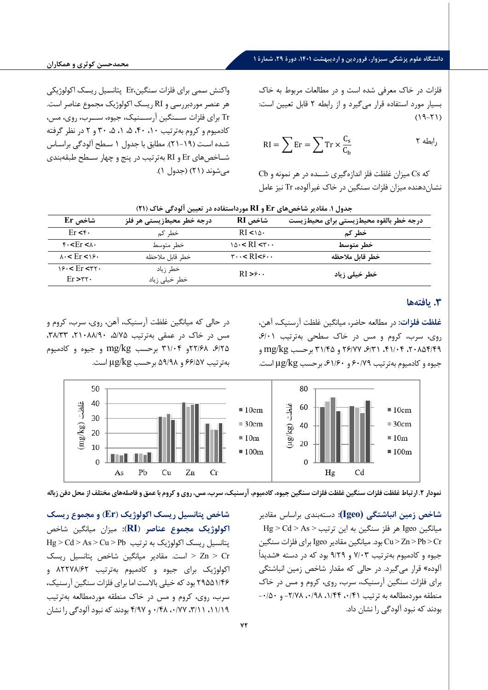## **دانشگاه علوم پزشکی سبزوار، فروردین و اردیبهشت ،1401 دورة ،29 شمارة 1**

فلزات در خاك معرفی شده است و در مطالعات مربوط به خاك بسیار مورد استفاده قرار می گیرد و از رابطه 2 قابل تعیین است:  $(19-71)$ 

$$
RI = \sum Er = \sum Tr \times \frac{C_s}{C_b} \qquad \qquad \Upsilon
$$

که Cs میزان غلظت فلز اندازه گیرى شــده در هر نمونه و Cb نشـان دهنده میزان فلزات سـنگین در خاك غ یرآلوده، Tr نیز عامل

واکنش سـمى براى فلزات سـنگین، Er پتانسـیل ر یسـک اکولوژ یکی هر عنصـر موردبررسـی و RI ر یسک اکولوژ یک مجموع عناصر است. Tr برای فلزات ســـنگین آرســـنیک، جیوه، ســـرب، روی، مس، کادمیوم و کروم بهترتیب ۰۱، ۴۰، ۵، ۱، ۵، ۳۰ و ۲ در نظر گرفته شـده اسـت (١٩-٢١). مطابق با جدول ١ سـطح آلودگي براسـاس شــاخص هاي Er و RI به ترت یب در پنج و چهار ســطح طبقه بند ي می شوند (۲۱) (جدول ۱).

| جموں ن سودیر ساخص سی اتنا و ایک مورد استفادہ در انعیین انودیے کا ت (۱۱) |                           |                                                    |                                         |  |
|-------------------------------------------------------------------------|---------------------------|----------------------------------------------------|-----------------------------------------|--|
| شاخص Er                                                                 | درجه خطر محیطزیستی هر فلز | شاخص RI                                            | درجه خطر بالقوه محيطزيستي براي محيطزيست |  |
| Er < r                                                                  | خطر کم                    | $RI < \delta$ .                                    | خطر کم                                  |  |
| $f - Fr < h$                                                            | خطر متوسط                 | $10 \cdot < RI < r \cdot$                          | خطر متوسط                               |  |
| $\lambda \cdot <$ $\text{Er}$ $\lt$ $\lambda$ $\epsilon$ .              | خطر قابل ملاحظه           | $\mathsf{r}\cdots\mathsf{R}$ I< $\mathsf{r}\cdots$ | خطر قابل ملاحظه                         |  |
| $18.5$ $\text{Er}$ $\text{ST}$ .                                        | خطر زياد                  | $RI > \epsilon$                                    | خطر خیلی زیاد                           |  |
| $Er > r r$ .                                                            | خطر خيلي زياد             |                                                    |                                         |  |

**جدول .1 مقادیر شاخصهاي Er و RI مورداستفاده در تعیین آلودگی خاك (21)** 

### **.3 یافتهها**

**غلظت فلزا ت :** در مطالعه حاضر، میانگین غلظت آرسنیک، آهن، روی، سرب، کروم و مس در خاک سطحی بهترتیب ۶/۰۱، /49 ،20854 /04 ،41 /31 ،6 /77 26 و /45 31 برحسب kg/mg و جیوه و کادمیوم به ترتیب ۶۰/۷۹ و ۶۱/۶۰، برحسب µg/kg است.

در حالی که میانگین غلظت آرسنیک، آهن، روی، سرب، کروم و مس در خاک در عمقی بهترتیب ۵/۷۵، ۸/۹۰،۱۲۸ ،۳۸/۳۳. /25 ،6 /68 22و /04 31 برحسب kg/mg و جیوه و کادمیوم به ترتیب /57 66 و /98 59 برحسب kg/µg است .



**نمودار .2 ارتباط غلظت فلزات سنگین غلظت فلزات سنگین جیوه، کادمیوم، آرسنیک، سرب، مس، روي و کروم با عمق و فاصله هاي مختلف از محل دفن زباله** 

**شاخص زمین انباشتگی (Igeo(:** دسته بند ي براساس مقادیر  $Hg > Cd > As > \frac{1}{2}$ میانگین Igeo هر فلز سنگین به این ترتیب Cr > Pb > Zn > Cu بود. میانگین مقادیر Igeo براي فلزات سنگین جیوه و کادمیوم به ترتیب /03 7 و /29 9 بود که در دسته «شدیداً آلوده» قرار م ی گیرد. در حالی که مقدار شاخص زمین انباشتگی براي فلزات سنگین آرسنیک، سرب، روي، کروم و مس در خاك -۰/۵۰ منطقه موردمطالعه به ترتیب ۰/۴۱ ، ۰/۹۸ ، ۲/۷۸ و ۰۰/۵۰ بودند که نبود آلودگی را نشان داد.

**شاخص پتانسیل ریسک اکولوژیک ( Er (و مجموع ریسک اکولوژیک مجموع عناصر ( RI (:** میزان میانگین شاخص  $Hg > Cd > As > Cu > Pb$  پتانسیل ریسک اکولوژیک به ترتیب است. مقادیر میانگین شاخص پتانسیل ریسک Zn > Cr اکولوژیک برای جیوه و کادمیوم بهترتیب ۸۲۲۷۸/۶۲ و /46 29551 بود که خیلی بالاست اما براي فلزات سنگین آرسنیک، سرب، روي، کروم و مس در خاك منطقه موردمطالعه به ترتیب /19 ،11 /11 ،3 /77 ،0 /48 0 و /97 4 بودند که نبود آلودگی را نشان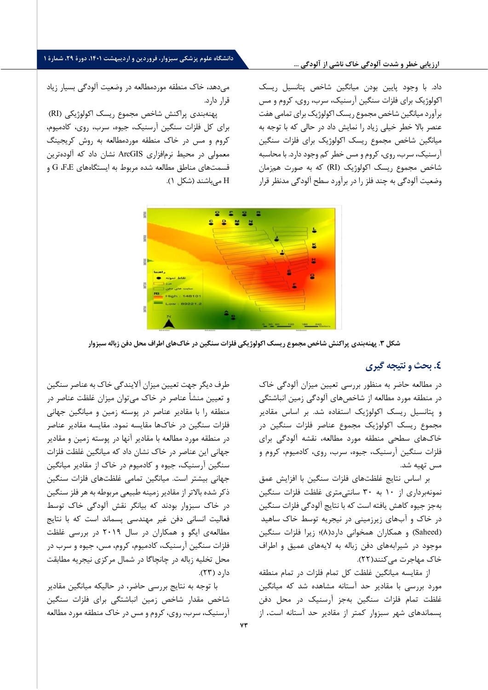#### **ارزیابی خطر و شدت آلودگ ی خاك ناش ی از آلودگ ی ...**

# **دانشگاه علوم پزشکی سبزوار، فروردین و اردیبهشت ،1401 دورة ،29 شمارة 1**

داد. با وجود پایین بودن میانگین شاخص پتانسیل ریسک اکولوژیک براي فلزات سنگین آرسنیک، سرب، روي، کروم و مس برآورد میانگین شاخص مجموع ریسک اکولوژیک براي تمامی هفت عنصر بالا خطر خیلی زیاد را نمایش داد در حالی که با توجه به میانگین شاخص مجموع ریسک اکولوژیک براي فل زات سنگین آرسنیک، سرب، روي، کروم و مس خطر کم وجود دارد. با محاسبه شاخص مجموع ریسک اکولوژیک (RI) که به صورت همزمان وضعیت آلودگی چند به فلز در را برآورد سطح آلودگی مدنظر قرار

می دهد، خاك منطقه موردمطالعه در وضعیت آلودگی بسیار زیاد قرار دارد.

پهنه بندي پراکنش شاخص مجموع ریسک اکولوژیکی ( RI ( براي کل فلزات سنگین آرسنیک، جیوه، سرب، روي، کادمیوم، کروم و مس در خاك منطقه موردمطالعه به روش کریجینگ معمولی در محیط نرم افزاري ArcGIS نشان داد که آلوده تر ین قسمت هاي مناطق مطالعه شده مربوط به ایستگاههاي  $\rm G$ ،  $\rm F$  و H می باشند (شکل 1).



**شکل .3 پهنه بندي پراکنش شاخص مجموع ریسک اکولوژیکی فلزات سنگین در خاك هاي اطراف محل دفن زباله سبزوار** 

## **.4 بحث و نتیجه گیري**

در مطالعه حاضر به منظور بررسی تعیین میزان آلودگی خاك در منطقه مورد مطالعه از شاخصهاي آلودگی زمین انباشتگی و پتانسیل ریسک اکولوژیک استفاده شد. بر اساس مقادیر مجموع ریسک اکولوژیک مجموع عناصر فلزات سنگین در خاكهاي سطحی منطقه مورد مطالعه، نقشه آلودگی براي فلزات سنگین آرسنیک، جیوه، سرب، روي، کادمیوم، کروم و مس تهیه شد.

بر اساس نتایج غلظت هاي فلزات سنگین با افزایش عمق نمونه برداري از 10 به 30 سانتیمتري غلظت فلزات سنگین بهجز جیوه کاهش یافته است که با نتایج آلودگی فلزات سنگین در خاك و آبهاي زیرزمینی در نیجریه توسط خاك ساهید (Saheed) و همکاران همخوانی دارد(۸)؛ زیرا فلزات سنگین موجود در شیرابههاي دفن زباله به لایههاي عمیق و اطراف خاک مهاجرت می کنند(٢٢).

از مقایسه میانگین غلظت کل تمام فلزات در تمام منطقه مورد بررسی با مقادیر حد آستانه مشاهده شد که میانگین غلظت تمام فلزات سنگین به جز آرسنیک در محل دفن پسماندهاي شهر سبزوار کمتر از مقادیر حد آستانه است**.** از

طرف دیگر جهت تعیین میزان آلایندگی خاك به عناصر سنگین و تعیین منشأ عناصر در خاك میتوان میزان غلظت عناصر در منطقه را با مقادیر عناصر در پوسته زمین و میانگین جهانی فلزات سنگین در خاكها مقایسه نمود. مقایسه مقادیر عناصر در منطقه مورد مطالعه با مقادیر آنها در پوسته زمین و مقادیر جهانی این عناصر در خاك نشان داد که میانگین غلظت فلزات سنگین آرسنیک، جیوه و کادمیوم در خاك از مقادیر میانگین جهانی بیشتر است. میانگین تمامی غلظتهای فلزات سنگین ذکر شده بالاتر از مقادیر زمینه طبیعی مربوطه به هر فلز سنگین در خاك سبزوار بودند که بیانگر نقش آلودگی خاك توسط فعالیت انسانی دفن غیر مهندسی پسماند است که با نتایج مطالعهي ایگو و همکاران در سال 2019 در بررسی غلظت فلزات سنگین آرسنیک، کادمیوم، کروم، مس، جیوه و سرب در محل تخلیه زباله در چانچاگا در شمال مرکزي نیجریه مطابقت دارد (23).

با توجه به نتایج بررسی حاضر، در حالیکه میانگین مقادیر شاخص مقدار شاخص زمین انباشتگی براي فلزات سنگین آرسنیک، سرب، روي، کروم و مس در خاك منطقه مورد مطالعه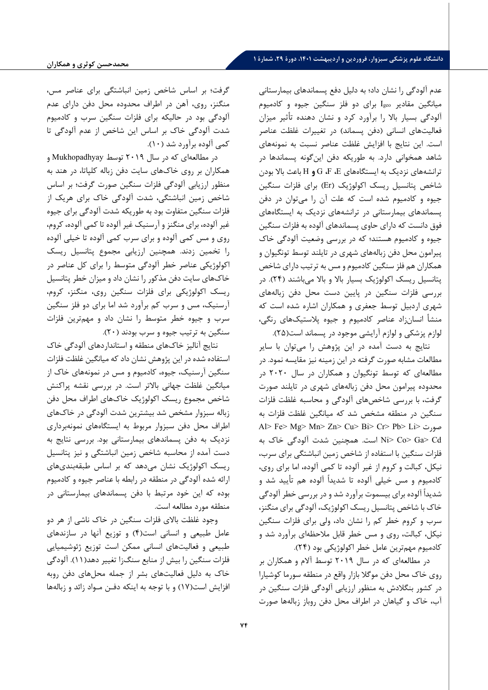# **دانشگاه علوم پزشکی سبزوار، فروردین و اردیبهشت ،1401 دورة ،29 شمارة 1**

عدم آلودگی را نشان داد؛ به دلیل دفع پسماندهاي بیمارستانی میانگین مقادیر Igeo براي دو فلز سنگین جیوه و کادمیوم آلودگی بسیار بالا را برآورد کرد و نشان دهنده تأثیر میزان فعالیتهای انسانی (دفن پسماند) در تغییرات غلظت عناصر است. این نتایج با افزایش غلظت عناصر نسبت به نمونههاي شاهد همخوانی دارد. به طوریکه دفن اینگونه پسماندها در ترانشههاي نزدیک به ایستگاههاي E**،** F**،** G **و** H باعث بالا بودن شاخص پتانسیل ریسک اکولوژیک (Er (براي فلزات سنگین جیوه و کادمیوم شده است که علت آن را میتوان در دفن پسماندهاي بیمارستانی در ترانشههاي نزدیک به ایستگاههاي فوق دانست که داراي حاوي پسماندهاي آلوده به فلزات سنگین جیوه و کادمیوم هستند؛ که در بررسی وضعیت آلودگی خاك پیرامون محل دفن زبالههاي شهري در تایلند توسط تونگیوان و همکاران هم فلز سنگین کادمیوم و مس به ترتیب داراي شاخص پتانسیل ریسک اکولوژیک بسیار بالا و بالا می باش ند (24). در بررسی فلزات سنگین در پایین دست محل دفن زبالههاي شهري اردبیل توسط جعفري و همکاران اشاره شده است که منشأ انسان زاد عناصر کادمیوم و جیوه پلاستیکهاي رنگی، لوازم پزشکی و لوازم آرایشی موجود در پسماند است(25).

نتایج به دست آمده در این پژوهش را میتوان با سایر مطالعات مشابه صورت گرفته در این زمینه نیز مقایسه نمود. در مطالعهاي که توسط تونگیوان و همکاران در سال 2020 در محدوده پیرامون محل دفن زبالههاي شهري در تایلند صورت گرفت، با بررسی شاخصهاي آلودگی و محاسبه غلظت فلزات سنگین در منطقه مشخص شد که میانگین غلظت فلزات به Al> Fe> Mg> Mn> Zn> Cu> Bi> Cr> Pb> Li> صورت Cd> Ga> Co> Ni است . همچنین شدت آلودگی خاك به فلزات سنگین با استفاده از شاخص زمین انباشتگی براي سرب، نیکل، کبالت و کروم از غیر آلوده تا کمی آلوده، اما براي روي ، کادمیوم و مس خیلی آلوده تا شدیداً آلوده هم تأیید شد و شدیداً آلوده براي بیسموت برآورد شد و در بررسی خطر آلودگی خاك با شاخص پتانسیل ریسک اکولوژیک، آلودگی براي منگنز، سرب و کروم خطر کم را نشان داد، ولی براي فلزات سنگین نیکل، کبالت، روي و مس خطر قابل ملاحظهاي برآورد شد و کادمیوم مهم ترین عامل خطر اکولوژیکی بود (24).

در مطالعهاي که در سال 2019 توسط آلام و همکاران بر روي خاك محل دفن موگلا بازار واقع در منطقه سورما کوشیارا در کشور بنگلادش به منظور ارزیابی آلودگی فلزات سنگین در آب، خاك و گیاهان در اطراف محل دفن روباز زبالهها صورت

گرفت؛ بر اساس شاخص زمین انباشتگی براي عناصر مس، منگنز، روي، آهن در اطراف محدوده محل دفن داراي عدم آلودگی بود در حالیکه براي فلزات سنگین سرب و کادمیوم شدت آلودگی خاك بر اساس این شاخص از عدم آلودگی تا کمی آلوده برآورد شد (10).

در مطالعهاي که در سال 2019 توسط Mukhopadhyay و همکاران بر روي خاكهاي سایت دفن زباله کلپاتا، در هند به منظور ارزیابی آلودگی فلزات سنگین صورت گرفت؛ بر اساس شاخص زمین انباشتگی، شدت آلودگی خاك براي هریک از فلزات سنگین متفاوت بود به طوریکه شدت آلودگی براي جیوه غیر آلوده، براي منگنز و آرسنیک غیر آلوده تا کمی آلوده، کروم، روي و مس کمی آلوده و براي سرب کمی آلوده تا خیلی آلوده را تخمین زدند. همچنین ارزیابی مجموع پتانسیل ریسک اکولوژیکی عناصر خطر آلودگی متوسط را براي کل عناصر در خاكهاي سایت دفن مذکور را نشان داد و میزان خطر پتانسیل ریسک اکولوژیکی براي فلزات سنگین روي، منگنز، کروم، آرسنیک، مس و سرب کم برآورد شد اما براي دو فلز سنگین سرب و جیوه خطر متوسط را نشان داد و مهمترین فلزات سنگین به ترتیب جیوه و سرب بودند (20).

نتایج آنالیز خاكهاي منطقه و استانداردهاي آلودگی خاك استفاده شده در این پژوهش نشان داد که میانگین غلظت فلزات سنگین آرسنیک، جیوه، کادمیوم و مس در نمونه هاي خاك از میانگین غلظت جهانی بالاتر است. در بررسی نقشه پراکنش شاخص مجموع ریسک اکولوژیک خاكهاي اطراف محل دفن زباله سبزوار مشخص شد بیشترین شدت آلودگی در خاكهاي اطراف محل دفن سبزوار مربوط به ایستگاههاي نمونهبرداري نزدیک به دفن پسماندهاي بیمارستانی بود.بررسی نتایج به دست آمده از محاسبه شاخص زمین انباشتگی و نیز پتانسیل ریسک اکولوژیک نشان میدهد که بر اساس طبقه بندي هاي ارائه شده آلودگی در منطقه در رابطه با عناصر جیوه و کادمیوم بوده که این خود مرتبط با دفن پسماندهاي بیمارستانی در منطقه مورد مطالعه است.

وجود غلظت بالاي فلزات سنگین در خاك ناشی از هر دو عامل طبیعی و انسانی است(4) و توزیع آنها در سازندهاي طبیعی و فعالیتهاي انسانی ممکن است توزیع ژئوشیمیایی فلزات سنگین را بیش از منابع سنگزا تغییر دهد(11). آلودگی خاك به دلیل فعالیتهاي بشر از جمله محلهاي دفن روبه افزایش است(17) و با توجه به اینکه دفـن مـواد زائد و زبالهها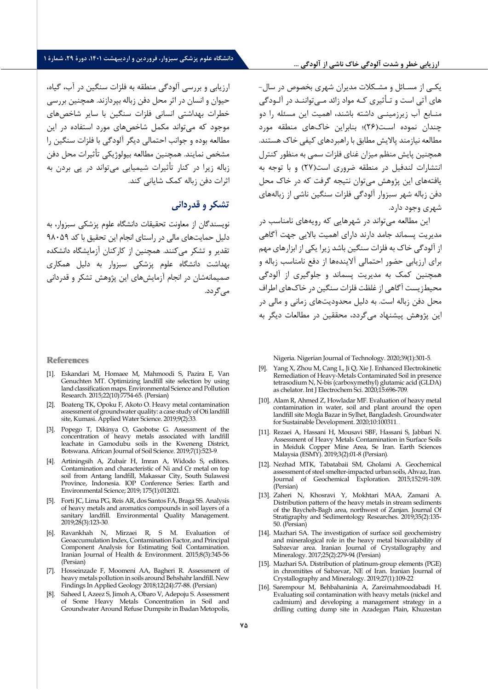#### **ارزیابی خطر و شدت آلودگی خاك ناشی از آلودگی ...**

# **دانشگاه علوم پزشکی سبزوار، فروردین و اردیبهشت ،1401 دورة ،29 شمارة 1**

ارزیابی و بررسی آلودگی منطقه به فلزات سنگین در آب، گیاه، حیوان و انسان در اثر محل دفن زباله بپردازند. همچنین بررسی خطرات بهداشتی انسانی فلزات سنگین با سایر شاخصهاي موجود که میتواند مکمل شاخصهاي مورد استفاده در این مطالعه بوده و جوانب احتمالی دیگر آلودگی با فلزات سنگین را مشخص نمایند. همچنین مطالعه بیولوژیکی تأثیرات محل دفن زباله زیرا در کنار تأثیرات شیمیایی میتواند در پی بردن به اثرات دفن زباله کمک شایانی کند.

# **تشکر و قدردانی**

نویسندگان از معاونت تحقیقات دانشگاه علوم پزشکی سبزوار، به دلیل حمایتهای مالی در راستای انجام این تحقیق با کد ۹۸۰۵۹ تقدیر و تشکر م*ی ک*نند. همچنین از کارکنان آزمایشگاه دانشکده بهداشت دانشگاه علوم پزشکی سبزوار به دلیل همکاري صم یمانه شان در انجام آزما یش هاي این پژوهش تشکر و قدردانی می گردد.

#### **References**

- [1]. Eskandari M, Homaee M, Mahmoodi S, Pazira E, Van Genuchten MT. Optimizing landfill site selection by using land classification maps. Environmental Science and Pollution Research. 2015;22(10):7754-65. (Persian)
- [2]. Boateng TK, Opoku F, Akoto O. Heavy metal contamination assessment of groundwater quality: a case study of Oti landfill site, Kumasi. Applied Water Science. 2019;9(2):33 .
- [3]. Popego T, Dikinya O, Gaobotse G. Assessment of the concentration of heavy metals associated with landfill leachate in Gamodubu soils in the Kweneng District, Botswana. African Journal of Soil Science. 2019;7(1):523-9 .
- [4]. Artiningsih A, Zubair H, Imran A, Widodo S, editors. Contamination and characteristic of Ni and Cr metal on top soil from Antang landfill, Makassar City, South Sulawesi Province, Indonesia. IOP Conference Series: Earth and Environmental Science; 2019; 175(1):012021 .
- [5]. Forti JC, Lima PG, Reis AR, dos Santos FA, Braga SS. Analysis of heavy metals and aromatics compounds in soil layers of a sanitary landfill. Environmental Quality Management. 2019;28(3):123-30 .
- [6]. Ravankhah N, Mirzaei R, S M. Evaluation of Geoaccumulation Index, Contamination Factor, and Principal Component Analysis for Estimating Soil Contamination. Iranian Journal of Health & Environment. 2015;8(3):345-56 (Persian)
- [7]. Hosseinzade F, Moomeni AA, Bagheri R. Assessment of heavy metals pollution in soils around Behshahr landfill. New Findings In Applied Geology 2018;12(24):77-88. (Persian)
- [8]. Saheed I, Azeez S, Jimoh A, Obaro V, Adepoju S. Assessment of Some Heavy Metals Concentration in Soil and Groundwater Around Refuse Dumpsite in Ibadan Metopolis,

یکـی از مسـائل و مشـکلات مدیران شهري بخصوص در سال- هاي آتی است و تـأثیري کـه مواد زائد مـیتواننـد در آلـودگی منـابع آب زیرزمینـی داشته باشند، اهمیت این مسئله را دو چندان نموده اسـت(26)؛ بنابراین خاكهاي منطقه مورد مطالعه نیازمند پالایش مطابق با راهبردهای کیفی خاک هستند. همچنین پایش منظم میزان غناي فلزات سمی به منظور کنترل انتشارات لندفیل در منطقه ضروري است(27) و با توجه به یافتههاي این پژوهش میتوان نتیجه گرفت که در خاك محل دفن زباله شهر سبزوار آلودگی فلزات سنگین ناشی از زباله هاي شهري وجود دارد.

این مطالعه میتواند در شهرهایی که رویههاي نامناسب در مدیریت پسماند جامد دارند داراي اهمیت بالایی جهت آگاهی از آلودگی خاك به فلزات سنگین باشد زیرا یکی از ابزارهاي مهم براي ارزیابی حضور احتمالی آلایندهها از دفع نامناسب زباله و همچنین کمک به مدیریت پسماند و جلوگیري از آلودگی محیطزیست آگاهی از غلظت فلزات سنگین در خاکهای اطراف محل دفن زباله است. به دلیل محدودیتهاي زمانی و مالی در این پژوهش پیشنهاد میگردد، محققین در مطالعات دیگر به

Nigeria. Nigerian Journal of Technology. 2020;39(1):301-5 .

- [9]. Yang X, Zhou M, Cang L, Ji Q, Xie J. Enhanced Electrokinetic Remediation of Heavy-Metals Contaminated Soil in presence tetrasodium N, N-bis (carboxymethyl) glutamic acid (GLDA) as chelator. Int J Electrochem Sci. 2020;15:696-709
- [10]. Alam R, Ahmed Z, Howladar MF. Evaluation of heavy metal contamination in water, soil and plant around the open landfill site Mogla Bazar in Sylhet, Bangladesh. Groundwater for Sustainable Development. 2020;10:100311 . .
- [11]. Rezaei A, Hassani H, Mousavi SBF, Hassani S, Jabbari N. Assessment of Heavy Metals Contamination in Surface Soils in Meiduk Copper Mine Area, Se Iran. Earth Sciences Malaysia (ESMY). 2019;3(2):01-8 (Persian) .
- [12]. Nezhad MTK, Tabatabaii SM, Gholami A. Geochemical assessment of steel smelter-impacted urban soils, Ahvaz, Iran. Journal of Geochemical Exploration. 2015;152:91-109. (Persian)
- [13]. Zaheri N, Khosravi Y, Mokhtari MAA, Zamani A. Distribution pattern of the heavy metals in stream sediments of the Baycheh-Bagh area, northwest of Zanjan. Journal Of Stratigraphy and Sedimentology Researches. 2019;35(2):135- 50. (Persian)
- [14]. Mazhari SA. The investigation of surface soil geochemistry and mineralogical role in the heavy metal bioavailability of Sabzevar area. Iranian Journal of Crystallography and Mineralogy. 2017;25(2):279-94 (Persian)
- [15]. Mazhari SA. Distribution of platinum-group elements (PGE) in chromitites of Sabzevar, NE of Iran. Iranian Journal of Crystallography and Mineralogy. 2019;27(1):109-22
- [16]. Sarempour M, Behbahaninia A, Zareimahmoodabadi H. Evaluating soil contamination with heavy metals (nickel and cadmium) and developing a management strategy in a drilling cutting dump site in Azadegan Plain, Khuzestan